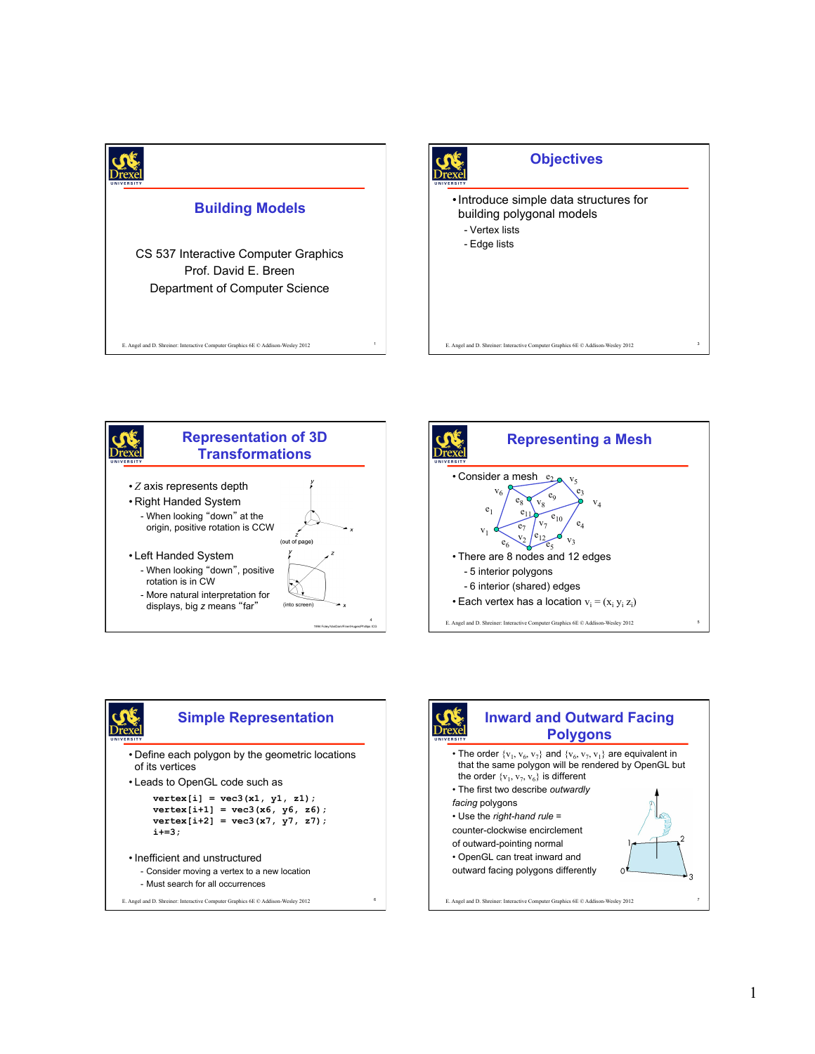









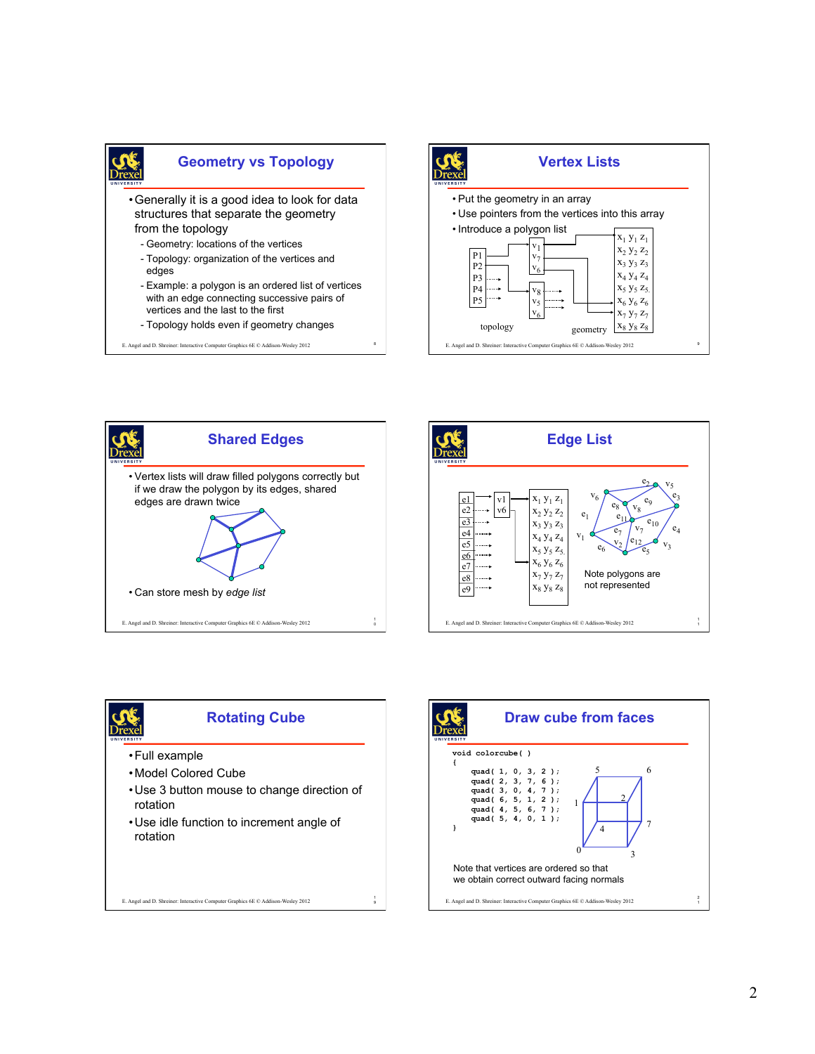



<sup>8</sup> E. Angel and D. Shreiner: Interactive Computer Graphics 6E © Addison-Wesley 2012









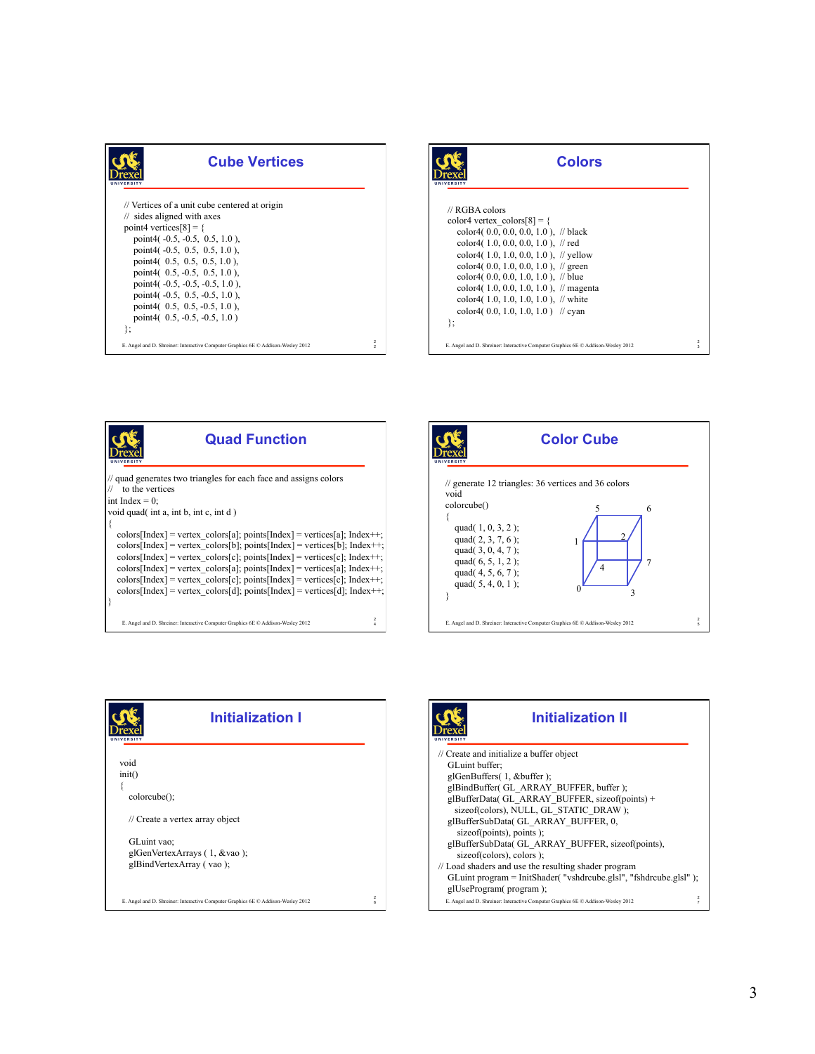| <b>Cube Vertices</b><br>ERSIT                                                                                                                                                                                                                                                                                                                                                                                                   |               |
|---------------------------------------------------------------------------------------------------------------------------------------------------------------------------------------------------------------------------------------------------------------------------------------------------------------------------------------------------------------------------------------------------------------------------------|---------------|
| // Vertices of a unit cube centered at origin<br>$\frac{1}{2}$ sides aligned with axes<br>point4 vertices $[8] = \{$<br>point4 $(-0.5, -0.5, 0.5, 1.0)$ ,<br>point4( $-0.5$ , 0.5, 0.5, 1.0),<br>point4( $0.5, 0.5, 0.5, 1.0$ ).<br>point4 $(0.5, -0.5, 0.5, 1.0)$ ,<br>point4( $-0.5, -0.5, -0.5, 1.0$ ),<br>point4( $-0.5$ , $0.5$ , $-0.5$ , $1.0$ ),<br>point4( $0.5, 0.5, -0.5, 1.0$ ).<br>point4 $(0.5, -0.5, -0.5, 1.0)$ |               |
| }∶<br>E. Angel and D. Shreiner: Interactive Computer Graphics 6E C Addison-Wesley 2012                                                                                                                                                                                                                                                                                                                                          | $\frac{2}{2}$ |





**Initialization I** 

E. Angel and D. Shreiner: Interactive Computer Graphics 6E © Addison-Wesley 2012

void init() {

colorcube();

GLuint vao;

// Create a vertex array object

 glGenVertexArrays ( 1, &vao ); glBindVertexArray ( vao );

2



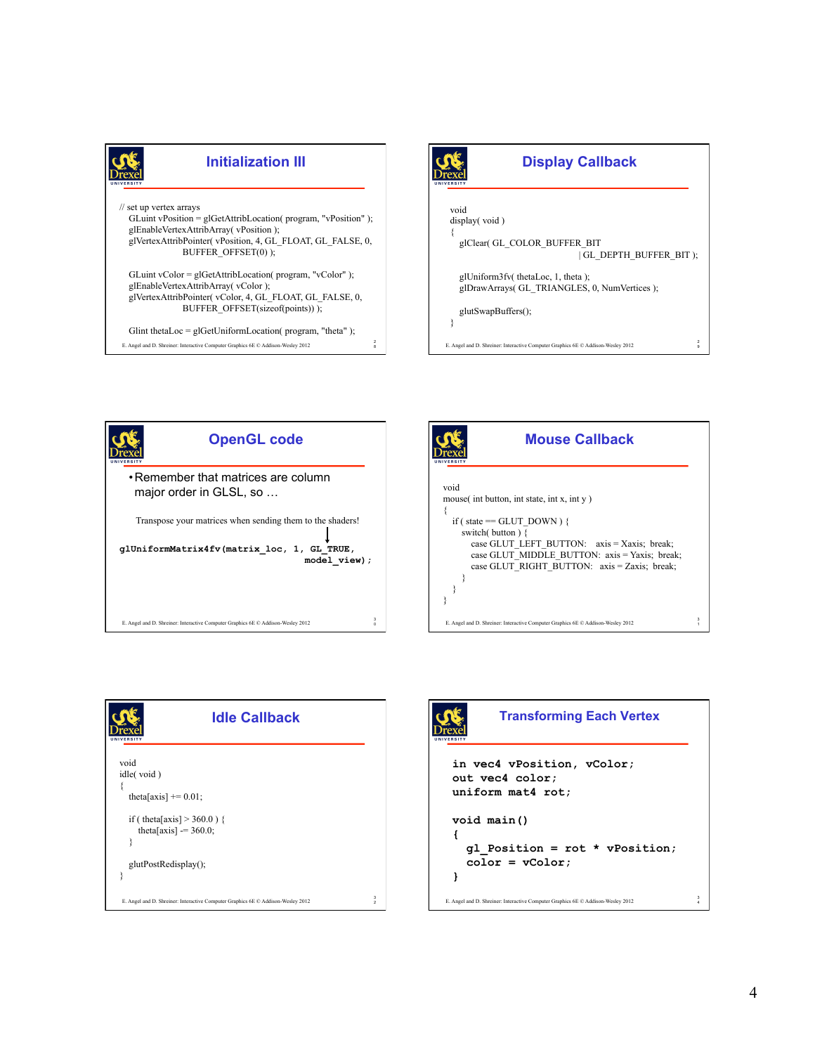









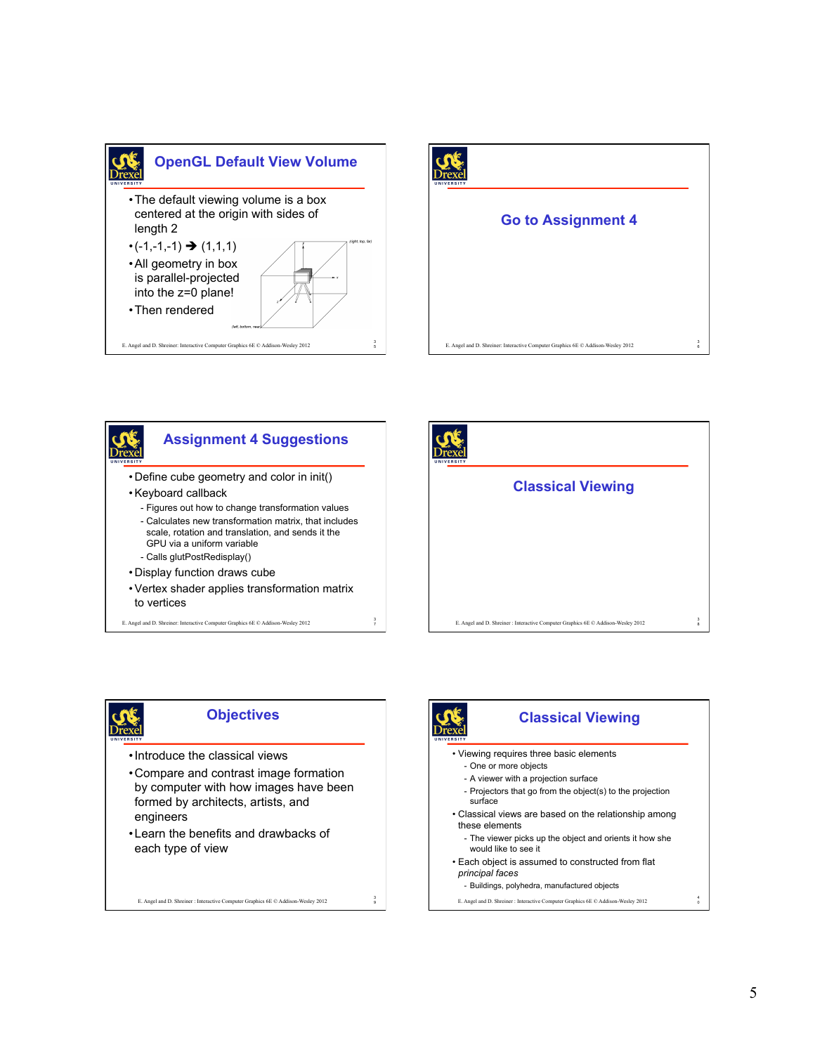









#### **Objectives**

- •Introduce the classical views
- •Compare and contrast image formation by computer with how images have been formed by architects, artists, and engineers
- •Learn the benefits and drawbacks of each type of view

E. Angel and D. Shreiner : Interactive Computer Graphics 6E © Addison-Wesley 2012

3

## **Classical Viewing**

- Viewing requires three basic elements
	- One or more objects
	- A viewer with a projection surface
	- Projectors that go from the object(s) to the projection surface
- Classical views are based on the relationship among these elements
	- The viewer picks up the object and orients it how she would like to see it
- Each object is assumed to constructed from flat *principal faces* 
	- Buildings, polyhedra, manufactured objects

E. Angel and D. Shreiner : Interactive Computer Graphics 6E $\textcircled{c}$  Addison-Wesley 2012

4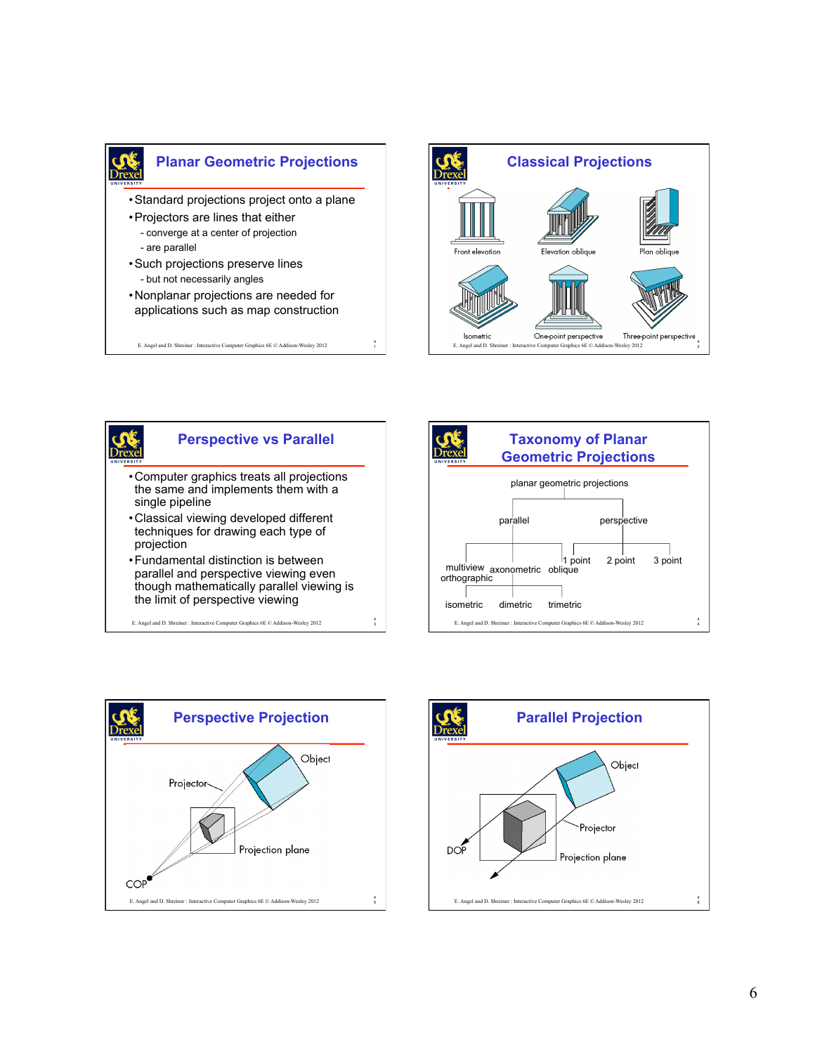

4

4





# **Perspective vs Parallel**

•Computer graphics treats all projections the same and implements them with a single pipeline

E. Angel and D. Shreiner : Interactive Computer Graphics 6E © Addison-Wesley 2012 <sup>1</sup>

- •Classical viewing developed different techniques for drawing each type of projection
- •Fundamental distinction is between parallel and perspective viewing even though mathematically parallel viewing is the limit of perspective viewing
- E. Angel and D. Shreiner : Interactive Computer Graphics 6E © Addison-Wesley 2012 <sup>3</sup>





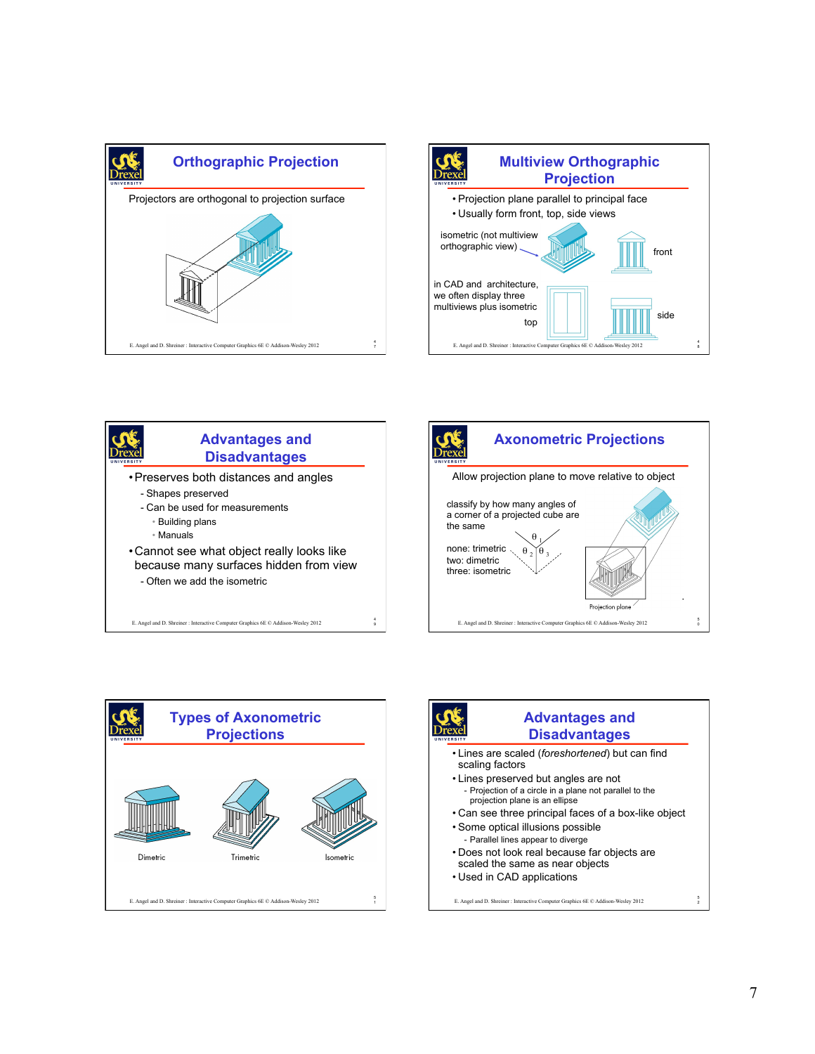









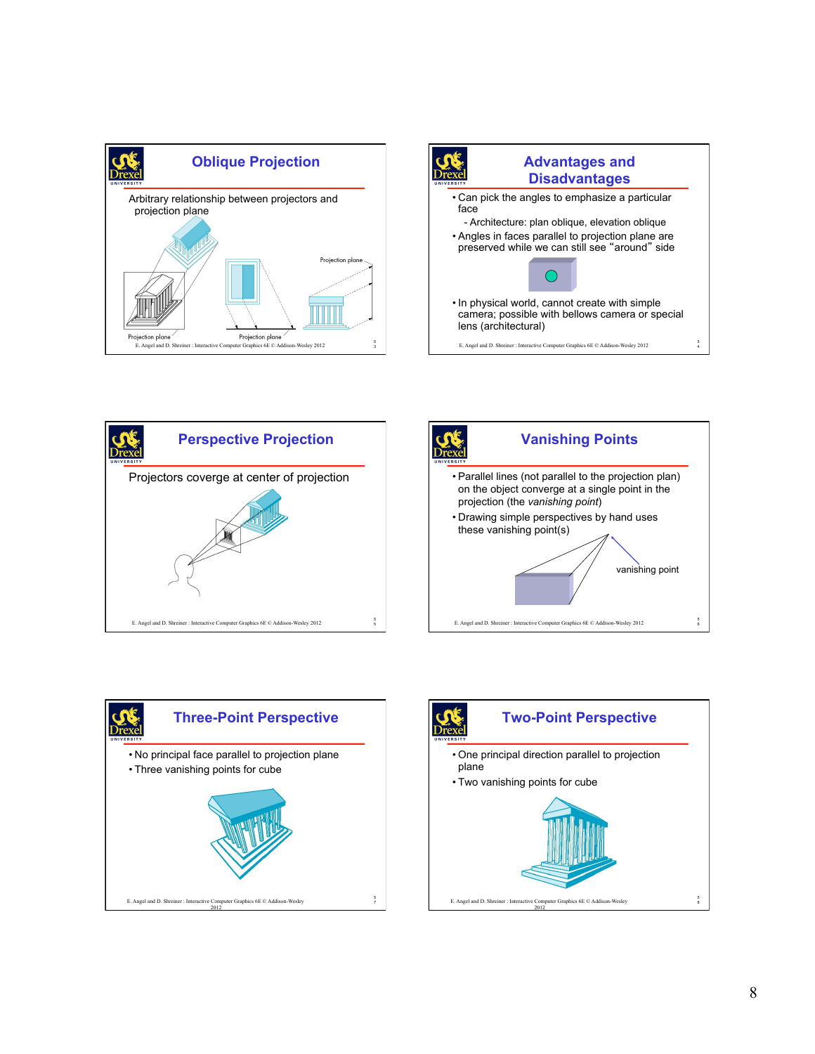